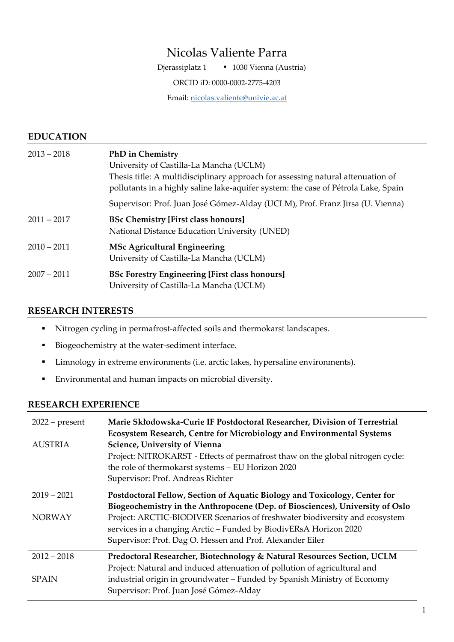# Nicolas Valiente Parra

Djerassiplatz 1 **·** 1030 Vienna (Austria)

ORCID iD: [0000-0002-2775-4203](https://orcid.org/0000-0002-2775-4203)

Email: [nicolas.valiente@univie.ac.at](mailto:nicolas.valiente@univie.ac.at)

### **EDUCATION**

| $2013 - 2018$ | <b>PhD</b> in Chemistry<br>University of Castilla-La Mancha (UCLM)<br>Thesis title: A multidisciplinary approach for assessing natural attenuation of<br>pollutants in a highly saline lake-aquifer system: the case of Pétrola Lake, Spain |
|---------------|---------------------------------------------------------------------------------------------------------------------------------------------------------------------------------------------------------------------------------------------|
|               | Supervisor: Prof. Juan José Gómez-Alday (UCLM), Prof. Franz Jirsa (U. Vienna)                                                                                                                                                               |
| $2011 - 2017$ | <b>BSc Chemistry [First class honours]</b><br>National Distance Education University (UNED)                                                                                                                                                 |
| $2010 - 2011$ | <b>MSc Agricultural Engineering</b><br>University of Castilla-La Mancha (UCLM)                                                                                                                                                              |
| $2007 - 2011$ | <b>BSc Forestry Engineering [First class honours]</b><br>University of Castilla-La Mancha (UCLM)                                                                                                                                            |

### **RESEARCH INTERESTS**

- Nitrogen cycling in permafrost-affected soils and thermokarst landscapes.
- Biogeochemistry at the water-sediment interface.
- Limnology in extreme environments (i.e. arctic lakes, hypersaline environments).
- Environmental and human impacts on microbial diversity.

#### **RESEARCH EXPERIENCE**

| $2022$ – present<br><b>AUSTRIA</b> | Marie Skłodowska-Curie IF Postdoctoral Researcher, Division of Terrestrial<br>Ecosystem Research, Centre for Microbiology and Environmental Systems<br>Science, University of Vienna<br>Project: NITROKARST - Effects of permafrost thaw on the global nitrogen cycle:<br>the role of thermokarst systems - EU Horizon 2020<br>Supervisor: Prof. Andreas Richter |
|------------------------------------|------------------------------------------------------------------------------------------------------------------------------------------------------------------------------------------------------------------------------------------------------------------------------------------------------------------------------------------------------------------|
| $2019 - 2021$                      | Postdoctoral Fellow, Section of Aquatic Biology and Toxicology, Center for                                                                                                                                                                                                                                                                                       |
|                                    | Biogeochemistry in the Anthropocene (Dep. of Biosciences), University of Oslo                                                                                                                                                                                                                                                                                    |
| <b>NORWAY</b>                      | Project: ARCTIC-BIODIVER Scenarios of freshwater biodiversity and ecosystem<br>services in a changing Arctic - Funded by BiodivERsA Horizon 2020<br>Supervisor: Prof. Dag O. Hessen and Prof. Alexander Eiler                                                                                                                                                    |
| $2012 - 2018$                      | Predoctoral Researcher, Biotechnology & Natural Resources Section, UCLM                                                                                                                                                                                                                                                                                          |
|                                    | Project: Natural and induced attenuation of pollution of agricultural and                                                                                                                                                                                                                                                                                        |
| <b>SPAIN</b>                       | industrial origin in groundwater – Funded by Spanish Ministry of Economy<br>Supervisor: Prof. Juan José Gómez-Alday                                                                                                                                                                                                                                              |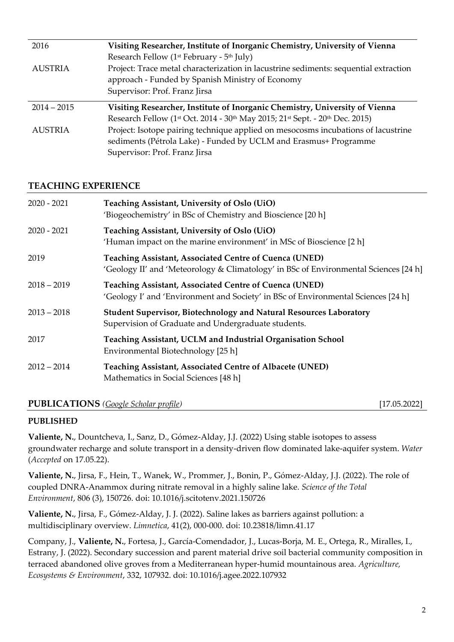| 2016           | Visiting Researcher, Institute of Inorganic Chemistry, University of Vienna                                                  |
|----------------|------------------------------------------------------------------------------------------------------------------------------|
|                | Research Fellow (1 <sup>st</sup> February - 5 <sup>th</sup> July)                                                            |
| <b>AUSTRIA</b> | Project: Trace metal characterization in lacustrine sediments: sequential extraction                                         |
|                | approach - Funded by Spanish Ministry of Economy                                                                             |
|                | Supervisor: Prof. Franz Jirsa                                                                                                |
| $2014 - 2015$  | Visiting Researcher, Institute of Inorganic Chemistry, University of Vienna                                                  |
|                | Research Fellow (1 <sup>st</sup> Oct. 2014 - 30 <sup>th</sup> May 2015; 21 <sup>st</sup> Sept. - 20 <sup>th</sup> Dec. 2015) |
| <b>AUSTRIA</b> | Project: Isotope pairing technique applied on mesocosms incubations of lacustrine                                            |
|                | sediments (Pétrola Lake) - Funded by UCLM and Erasmus+ Programme                                                             |
|                | Supervisor: Prof. Franz Jirsa                                                                                                |

### **TEACHING EXPERIENCE**

| $2020 - 2021$ | Teaching Assistant, University of Oslo (UiO)<br>'Biogeochemistry' in BSc of Chemistry and Bioscience [20 h]                                           |
|---------------|-------------------------------------------------------------------------------------------------------------------------------------------------------|
| $2020 - 2021$ | Teaching Assistant, University of Oslo (UiO)<br>'Human impact on the marine environment' in MSc of Bioscience [2 h]                                   |
| 2019          | <b>Teaching Assistant, Associated Centre of Cuenca (UNED)</b><br>'Geology II' and 'Meteorology & Climatology' in BSc of Environmental Sciences [24 h] |
| $2018 - 2019$ | Teaching Assistant, Associated Centre of Cuenca (UNED)<br>'Geology I' and 'Environment and Society' in BSc of Environmental Sciences [24 h]           |
| $2013 - 2018$ | <b>Student Supervisor, Biotechnology and Natural Resources Laboratory</b><br>Supervision of Graduate and Undergraduate students.                      |
| 2017          | Teaching Assistant, UCLM and Industrial Organisation School<br>Environmental Biotechnology [25 h]                                                     |
| $2012 - 2014$ | Teaching Assistant, Associated Centre of Albacete (UNED)<br>Mathematics in Social Sciences [48 h]                                                     |

# **PUBLICATIONS** *[\(Google Scholar profile\)](https://scholar.google.com/citations?user=cfJS4SMAAAAJ&hl=en)* [17.05.2022]

### **PUBLISHED**

**Valiente, N.**, Dountcheva, I., Sanz, D., Gómez-Alday, J.J. (2022) Using stable isotopes to assess groundwater recharge and solute transport in a density-driven flow dominated lake-aquifer system. *Water*  (*Accepted* on 17.05.22).

**Valiente, N.**, Jirsa, F., Hein, T., Wanek, W., Prommer, J., Bonin, P., Gómez-Alday, J.J. (2022). The role of coupled DNRA-Anammox during nitrate removal in a highly saline lake. *Science of the Total Environment*, 806 (3), 150726. doi: [10.1016/j.scitotenv.2021.150726](http://www.doi.org/10.1016/j.scitotenv.2021.150726)

**Valiente, N.**, Jirsa, F., Gómez-Alday, J. J. (2022). Saline lakes as barriers against pollution: a multidisciplinary overview. *Limnetica*, 41(2), 000-000. doi: [10.23818/limn.41.17](http://www.doi.org/10.23818/limn.41.17)

Company, J., **Valiente, N.**, Fortesa, J., García-Comendador, J., Lucas-Borja, M. E., Ortega, R., Miralles, I., Estrany, J. (2022). Secondary succession and parent material drive soil bacterial community composition in terraced abandoned olive groves from a Mediterranean hyper-humid mountainous area. *Agriculture, Ecosystems & Environment*, 332, 107932. doi: [10.1016/j.agee.2022.107932](http://www.doi.org/10.1016/j.agee.2022.107932)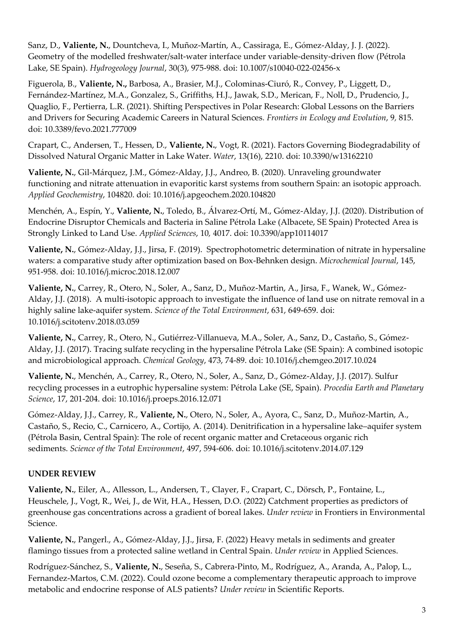Sanz, D., **Valiente, N.**, Dountcheva, I., Muñoz-Martín, A., Cassiraga, E., Gómez-Alday, J. J. (2022). Geometry of the modelled freshwater/salt-water interface under variable-density-driven flow (Pétrola Lake, SE Spain). *Hydrogeology Journal*, 30(3), 975-988. doi: [10.1007/s10040-022-02456-x](http://www.doi.org/10.1007/s10040-022-02456-x)

Figuerola, B., **Valiente, N.,** Barbosa, A., Brasier, M.J., Colominas-Ciuró, R., Convey, P., Liggett, D., Fernández-Martínez, M.A., Gonzalez, S., Griffiths, H.J., Jawak, S.D., Merican, F., Noll, D., Prudencio, J., Quaglio, F., Pertierra, L.R. (2021). Shifting Perspectives in Polar Research: Global Lessons on the Barriers and Drivers for Securing Academic Careers in Natural Sciences*. Frontiers in Ecology and Evolution*, 9*,* 815. doi: [10.3389/fevo.2021.777009](http://www.doi.org/10.3389/fevo.2021.777009)

Crapart, C., Andersen, T., Hessen, D., **Valiente, N.**, Vogt, R. (2021). Factors Governing Biodegradability of Dissolved Natural Organic Matter in Lake Water. *Water*, 13(16), 2210. doi: [10.3390/w13162210](http://www.doi.org/10.3390/w13162210)

**Valiente, N.**, Gil-Márquez, J.M., Gómez-Alday, J.J., Andreo, B. (2020). Unraveling groundwater functioning and nitrate attenuation in evaporitic karst systems from southern Spain: an isotopic approach. *Applied Geochemistry*, 104820. doi: [10.1016/j.apgeochem.2020.104820](https://doi.org/10.1016/j.apgeochem.2020.104820)

Menchén, A., Espín, Y., **Valiente, N.**, Toledo, B., Álvarez-Ortí, M., Gómez-Alday, J.J. (2020). Distribution of Endocrine Disruptor Chemicals and Bacteria in Saline Pétrola Lake (Albacete, SE Spain) Protected Area is Strongly Linked to Land Use. *Applied Sciences*, 10*,* 4017. doi: [10.3390/app10114017](https://doi.org/10.3390/app10114017)

**Valiente, N.**, Gómez-Alday, J.J., Jirsa, F. (2019). Spectrophotometric determination of nitrate in hypersaline waters: a comparative study after optimization based on Box-Behnken design. *Microchemical Journal*, 145, 951-958. [doi: 10.1016/j.microc.2018.12.007](https://doi.org/10.1016/j.microc.2018.12.007)

**Valiente, N.**, Carrey, R., Otero, N., Soler, A., Sanz, D., Muñoz-Martin, A., Jirsa, F., Wanek, W., Gómez-Alday, J.J. (2018). A multi-isotopic approach to investigate the influence of land use on nitrate removal in a highly saline lake-aquifer system. *Science of the Total Environment*, 631, 649-659. [doi:](https://doi.org/10.1016/j.scitotenv.2018.03.059)  [10.1016/j.scitotenv.2018.03.059](https://doi.org/10.1016/j.scitotenv.2018.03.059)

**Valiente, N.**, Carrey, R., Otero, N., Gutiérrez-Villanueva, M.A., Soler, A., Sanz, D., Castaño, S., Gómez-Alday, J.J. (2017). Tracing sulfate recycling in the hypersaline Pétrola Lake (SE Spain): A combined isotopic and microbiological approach. *Chemical Geology*, 473, 74-89. [doi: 10.1016/j.chemgeo.2017.10.024](https://doi.org/10.1016/j.chemgeo.2017.10.024)

**Valiente, N.**, Menchén, A., Carrey, R., Otero, N., Soler, A., Sanz, D., Gómez-Alday, J.J. (2017). Sulfur recycling processes in a eutrophic hypersaline system: Pétrola Lake (SE, Spain). *Procedia Earth and Planetary Science*, 17, 201-204. [doi: 10.1016/j.proeps.2016.12.071](https://doi.org/10.1016/j.proeps.2016.12.071)

Gómez-Alday, J.J., Carrey, R., **Valiente, N.**, Otero, N., Soler, A., Ayora, C., Sanz, D., Muñoz-Martin, A., Castaño, S., Recio, C., Carnicero, A., Cortijo, A. (2014). Denitrification in a hypersaline lake–aquifer system (Pétrola Basin, Central Spain): The role of recent organic matter and Cretaceous organic rich sediments. *Science of the Total Environment*, 497, 594-606. [doi: 10.1016/j.scitotenv.2014.07.129](https://doi.org/10.1016/j.scitotenv.2014.07.129)

# **UNDER REVIEW**

**Valiente, N.**, Eiler, A., Allesson, L., Andersen, T., Clayer, F., Crapart, C., Dörsch, P., Fontaine, L., Heuschele, J., Vogt, R., Wei, J., de Wit, H.A., Hessen, D.O. (2022) Catchment properties as predictors of greenhouse gas concentrations across a gradient of boreal lakes. *Under review* in Frontiers in Environmental Science.

**Valiente, N.**, Pangerl., A., Gómez-Alday, J.J., Jirsa, F. (2022) Heavy metals in sediments and greater flamingo tissues from a protected saline wetland in Central Spain. *Under review* in Applied Sciences.

Rodríguez-Sánchez, S., **Valiente, N.**, Seseña, S., Cabrera-Pinto, M., Rodríguez, A., Aranda, A., Palop, L., Fernandez-Martos, C.M. (2022). Could ozone become a complementary therapeutic approach to improve metabolic and endocrine response of ALS patients? *Under review* in Scientific Reports.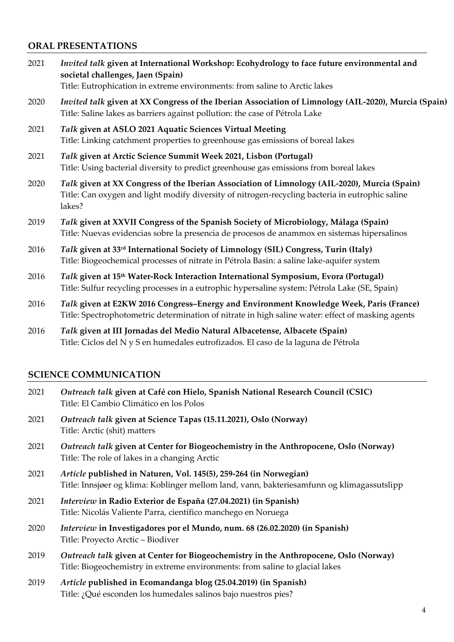# **ORAL PRESENTATIONS**

- 2021 *Invited talk* **given at International Workshop: Ecohydrology to face future environmental and societal challenges, Jaen (Spain)** Title: Eutrophication in extreme environments: from saline to Arctic lakes
- 2020 *Invited talk* **given at XX Congress of the Iberian Association of Limnology (AIL-2020), Murcia (Spain)** Title: Saline lakes as barriers against pollution: the case of Pétrola Lake
- 2021 *Talk* **given at ASLO 2021 Aquatic Sciences Virtual Meeting** Title: Linking catchment properties to greenhouse gas emissions of boreal lakes
- 2021 *Talk* **given at Arctic Science Summit Week 2021, Lisbon (Portugal)** Title: Using bacterial diversity to predict greenhouse gas emissions from boreal lakes
- 2020 *Talk* **given at XX Congress of the Iberian Association of Limnology (AIL-2020), Murcia (Spain)** Title: Can oxygen and light modify diversity of nitrogen-recycling bacteria in eutrophic saline lakes?
- 2019 *Talk* **given at XXVII Congress of the Spanish Society of Microbiology, Málaga (Spain)** Title: Nuevas evidencias sobre la presencia de procesos de anammox en sistemas hipersalinos
- 2016 *Talk* **given at 33rd International Society of Limnology (SIL) Congress, Turin (Italy)** Title: Biogeochemical processes of nitrate in Pétrola Basin: a saline lake-aquifer system
- 2016 *Talk* **given at 15th Water-Rock Interaction International Symposium, Evora (Portugal)** Title: Sulfur recycling processes in a eutrophic hypersaline system: Pétrola Lake (SE, Spain)
- 2016 *Talk* **given at E2KW 2016 Congress–Energy and Environment Knowledge Week, Paris (France)** Title: Spectrophotometric determination of nitrate in high saline water: effect of masking agents
- 2016 *Talk* **given at III Jornadas del Medio Natural Albacetense, Albacete (Spain)** Title: Ciclos del N y S en humedales eutrofizados. El caso de la laguna de Pétrola

# **SCIENCE COMMUNICATION**

- 2021 *Outreach talk* **given at Café con Hielo, Spanish National Research Council (CSIC)** Title: El Cambio Climático en los Polos
- 2021 *Outreach talk* **given at Science Tapas (15.11.2021), Oslo (Norway)** Title: Arctic (shit) matters
- 2021 *Outreach talk* **given at Center for Biogeochemistry in the Anthropocene, Oslo (Norway)** Title: The role of lakes in a changing Arctic
- 2021 *Article* **published in Naturen, Vol. 145(5), 259-264 (in Norwegian)** Title: Innsjøer og klima: Koblinger mellom land, vann, bakteriesamfunn og klimagassutslipp
- 2021 *Interview* **in Radio Exterior de España (27.04.2021) (in Spanish)** Title: Nicolás Valiente Parra, científico manchego en Noruega
- 2020 *Interview* **in Investigadores por el Mundo, num. 68 (26.02.2020) (in Spanish)** Title: Proyecto Arctic – Biodiver
- 2019 *Outreach talk* **given at Center for Biogeochemistry in the Anthropocene, Oslo (Norway)** Title: Biogeochemistry in extreme environments: from saline to glacial lakes
- 2019 *Article* **published in Ecomandanga blog (25.04.2019) (in Spanish)** Title: ¿Qué esconden los humedales salinos bajo nuestros pies?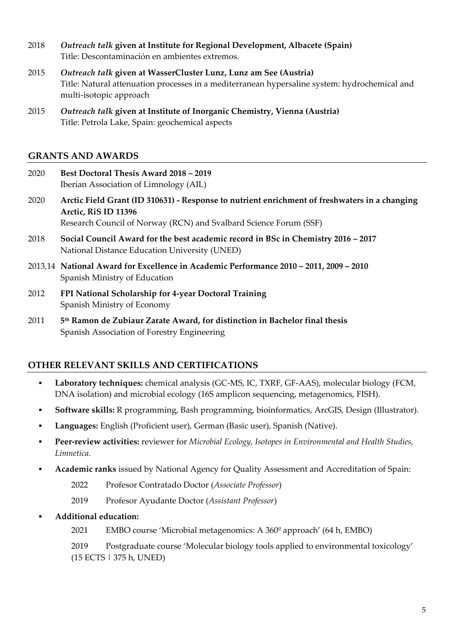- 2018 *Outreach talk* **given at Institute for Regional Development, Albacete (Spain)** Title: Descontaminación en ambientes extremos.
- 2015 *Outreach talk* **given at WasserCluster Lunz, Lunz am See (Austria)** Title: Natural attenuation processes in a mediterranean hypersaline system: hydrochemical and multi-isotopic approach
- 2015 *Outreach talk* **given at Institute of Inorganic Chemistry, Vienna (Austria)** Title: Petrola Lake, Spain: geochemical aspects

# **GRANTS AND AWARDS**

| 2020 | <b>Best Doctoral Thesis Award 2018 - 2019</b><br>Iberian Association of Limnology (AIL)                                                                                                    |
|------|--------------------------------------------------------------------------------------------------------------------------------------------------------------------------------------------|
| 2020 | Arctic Field Grant (ID 310631) - Response to nutrient enrichment of freshwaters in a changing<br>Arctic, RiS ID 11396<br>Research Council of Norway (RCN) and Svalbard Science Forum (SSF) |
| 2018 | Social Council Award for the best academic record in BSc in Chemistry 2016 – 2017<br>National Distance Education University (UNED)                                                         |
|      | 2013,14 National Award for Excellence in Academic Performance 2010 – 2011, 2009 – 2010<br>Spanish Ministry of Education                                                                    |
| 2012 | FPI National Scholarship for 4-year Doctoral Training<br>Spanish Ministry of Economy                                                                                                       |

2011 **5 th Ramon de Zubiaur Zarate Award, for distinction in Bachelor final thesis** Spanish Association of Forestry Engineering

# **OTHER RELEVANT SKILLS AND CERTIFICATIONS**

- **Laboratory techniques:** chemical analysis (GC-MS, IC, TXRF, GF-AAS), molecular biology (FCM, DNA isolation) and microbial ecology (16S amplicon sequencing, metagenomics, FISH).
- **▪ Software skills:** R programming, Bash programming, bioinformatics, ArcGIS, Design (Illustrator).
- **▪ Languages:** English (Proficient user), German (Basic user), Spanish (Native).
- **▪ Peer-review activities:** reviewer for *Microbial Ecology, Isotopes in Environmental and Health Studies, Limnetica.*
- **▪ Academic ranks** issued by National Agency for Quality Assessment and Accreditation of Spain:
	- 2022 Profesor Contratado Doctor (*Associate Professor*)
	- 2019 Profesor Ayudante Doctor (*Assistant Professor*)
- **▪ Additional education:**
	- 2021 EMBO course 'Microbial metagenomics: A 360º approach' (64 h, EMBO)

2019 Postgraduate course 'Molecular biology tools applied to environmental toxicology' (15 ECTS | 375 h, UNED)